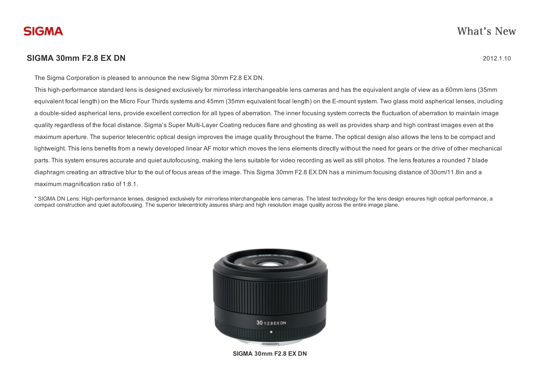## **SIGMA 30mm F2.8 EX DN** 2012.1.10

The Sigma Corporation is pleased to announce the new Sigma 30mm F2.8 EX DN.

This high-performance standard lens is designed exclusively for mirrorless interchangeable lens cameras and has the equivalent angle of view as a 60mm lens (35mm equivalent focal length) on the Micro Four Thirds systems and 45mm (35mm equivalent focal length) on the E-mount system. Two glass mold aspherical lenses, including a double-sided aspherical lens, provide excellent correction for all types of aberration. The inner focusing system corrects the fluctuation of aberration to maintain image quality regardless of the focal distance. Sigma's Super Multi-Layer Coating reduces flare and ghosting as well as provides sharp and high contrast images even at the maximum aperture. The superior telecentric optical design improves the image quality throughout the frame. The optical design also allows the lens to be compact and lightweight. This lens benefits from a newly developed linear AF motor which moves the lens elements directly without the need for gears or the drive of other mechanical parts. This system ensures accurate and quiet autofocusing, making the lens suitable for video recording as well as still photos. The lens features a rounded 7 blade diaphragm creating an attractive blur to the out of focus areas of the image. This Sigma 30mm F2.8 EX DN has a minimum focusing distance of 30cm/11.8in and a maximum magnification ratio of 1:8.1.

\* SIGMA DN Lens: High-performance lenses, designed exclusively for mirrorless interchangeable lens cameras. The latest technology for the lens design ensures high optical performance, a compact construction and quiet autofocusing. The superior telecentricity assures sharp and high resolution image quality across the entire image plane.



SIGMA 30mm F2.8 EX DN